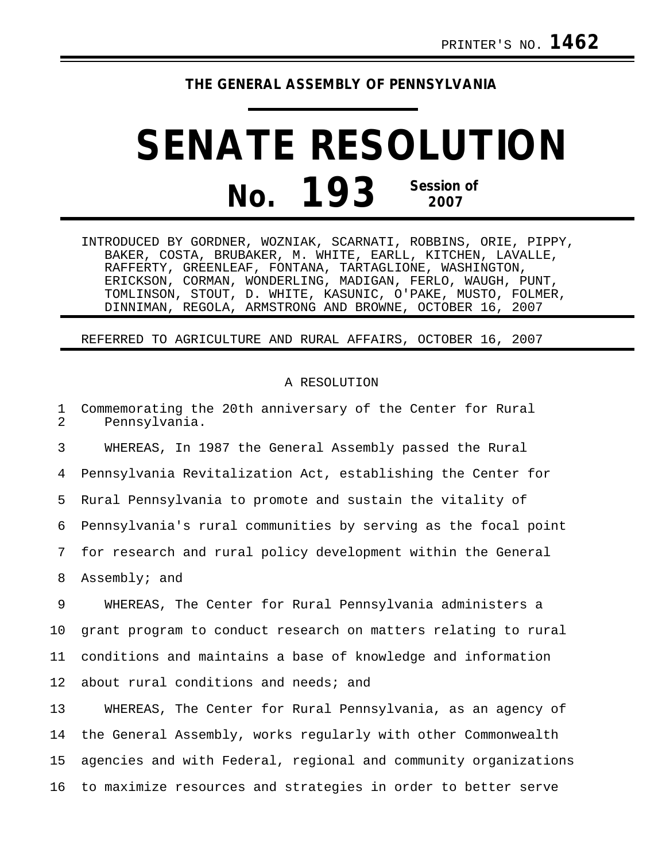## **THE GENERAL ASSEMBLY OF PENNSYLVANIA**

## **SENATE RESOLUTION No. 193 Session of 2007**

INTRODUCED BY GORDNER, WOZNIAK, SCARNATI, ROBBINS, ORIE, PIPPY, BAKER, COSTA, BRUBAKER, M. WHITE, EARLL, KITCHEN, LAVALLE, RAFFERTY, GREENLEAF, FONTANA, TARTAGLIONE, WASHINGTON, ERICKSON, CORMAN, WONDERLING, MADIGAN, FERLO, WAUGH, PUNT, TOMLINSON, STOUT, D. WHITE, KASUNIC, O'PAKE, MUSTO, FOLMER, DINNIMAN, REGOLA, ARMSTRONG AND BROWNE, OCTOBER 16, 2007

REFERRED TO AGRICULTURE AND RURAL AFFAIRS, OCTOBER 16, 2007

## A RESOLUTION

1 Commemorating the 20th anniversary of the Center for Rural<br>2 Pennsylvania 2 Pennsylvania.

3 WHEREAS, In 1987 the General Assembly passed the Rural 4 Pennsylvania Revitalization Act, establishing the Center for 5 Rural Pennsylvania to promote and sustain the vitality of 6 Pennsylvania's rural communities by serving as the focal point 7 for research and rural policy development within the General 8 Assembly; and

9 WHEREAS, The Center for Rural Pennsylvania administers a 10 grant program to conduct research on matters relating to rural 11 conditions and maintains a base of knowledge and information 12 about rural conditions and needs; and

13 WHEREAS, The Center for Rural Pennsylvania, as an agency of 14 the General Assembly, works regularly with other Commonwealth 15 agencies and with Federal, regional and community organizations 16 to maximize resources and strategies in order to better serve